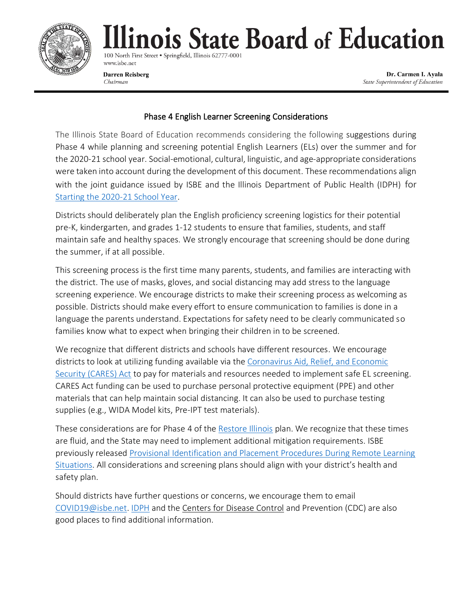

100 North First Street . Springfield, Illinois 62777-000 www.isbe.net

**Darren Reisberg** Chairman

Dr. Carmen I. Ayala State Superintendent of Education

#### Phase 4 English Learner Screening Considerations

The Illinois State Board of Education recommends considering the following suggestions during Phase 4 while planning and screening potential English Learners (ELs) over the summer and for the 2020-21 school year. Social-emotional, cultural, linguistic, and age-appropriate considerations were taken into account during the development of this document. These recommendations align with the joint guidance issued by ISBE and the Illinois Department of Public Health (IDPH) for [Starting the 2020-21 School Year.](https://www.isbe.net/Documents/Part-3-Transition-Planning-Phase-4.pdf)

Districts should deliberately plan the English proficiency screening logistics for their potential pre-K, kindergarten, and grades 1-12 students to ensure that families, students, and staff maintain safe and healthy spaces. We strongly encourage that screening should be done during the summer, if at all possible.

This screening process is the first time many parents, students, and families are interacting with the district. The use of masks, gloves, and social distancing may add stress to the language screening experience. We encourage districts to make their screening process as welcoming as possible. Districts should make every effort to ensure communication to families is done in a language the parents understand. Expectations for safety need to be clearly communicated so families know what to expect when bringing their children in to be screened.

We recognize that different districts and schools have different resources. We encourage districts to look at utilizing funding available via the [Coronavirus Aid, Relief, and Economic](https://www.isbe.net/Documents/CARES-Act-District-Info-3-31-20.pdf)  [Security \(CARES\) Act](https://www.isbe.net/Documents/CARES-Act-District-Info-3-31-20.pdf) to pay for materials and resources needed to implement safe EL screening. CARES Act funding can be used to purchase personal protective equipment (PPE) and other materials that can help maintain social distancing. It can also be used to purchase testing supplies (e.g., WIDA Model kits, Pre-IPT test materials).

These considerations are for Phase 4 of the [Restore Illinois](https://www.dph.illinois.gov/restore) plan. We recognize that these times are fluid, and the State may need to implement additional mitigation requirements. ISBE previously released [Provisional Identification and Placement Procedures During Remote Learning](https://www.isbe.net/Documents/EL-Provisional-Screening-20200422.pdf)  [Situations.](https://www.isbe.net/Documents/EL-Provisional-Screening-20200422.pdf) All considerations and screening plans should align with your district's health and safety plan.

Should districts have further questions or concerns, we encourage them to email [COVID19@isbe.net.](mailto:COVID19@isbe.net) [IDPH](https://www.dph.illinois.gov/) and the Centers [for Disease Control](https://www.cdc.gov/coronavirus/2019-ncov/index.html) and Prevention (CDC) are also good places to find additional information.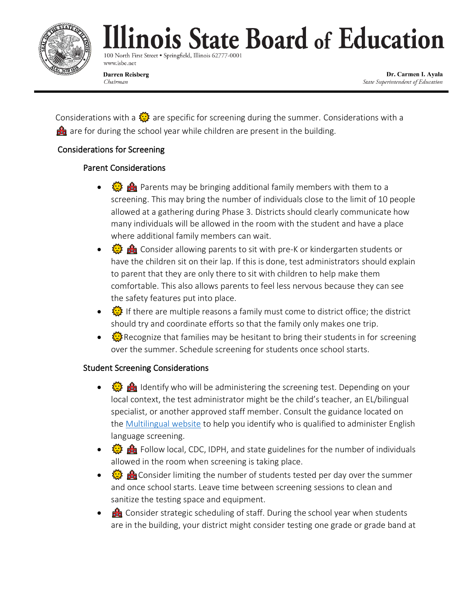

100 North First Street . Springfield, Illinois 62777-000 www.isbe.net

**Darren Reisberg** Chairman

Dr. Carmen I. Ayala State Superintendent of Education

Considerations with a  $\frac{\sqrt{2}}{2}$  are specific for screening during the summer. Considerations with a  $\mathbf{a}$  are for during the school year while children are present in the building.

### Considerations for Screening

### Parent Considerations

- $\frac{1}{2}$   $\frac{1}{2}$   $\frac{1}{2}$  Parents may be bringing additional family members with them to a screening. This may bring the number of individuals close to the limit of 10 people allowed at a gathering during Phase 3. Districts should clearly communicate how many individuals will be allowed in the room with the student and have a place where additional family members can wait.
- 《※ 命 Consider allowing parents to sit with pre-K or kindergarten students or have the children sit on their lap. If this is done, test administrators should explain to parent that they are only there to sit with children to help make them comfortable. This also allows parents to feel less nervous because they can see the safety features put into place.
- $\frac{1}{22}$  If there are multiple reasons a family must come to district office; the district should try and coordinate efforts so that the family only makes one trip.
- $\frac{1}{2}$  Recognize that families may be hesitant to bring their students in for screening over the summer. Schedule screening for students once school starts.

### Student Screening Considerations

- $\frac{100}{100}$  Identify who will be administering the screening test. Depending on your local context, the test administrator might be the child's teacher, an EL/bilingual specialist, or another approved staff member. Consult the guidance located on the [Multilingual website](https://www.isbe.net/Pages/ACCESS-for-ELLS-Administration.aspx) to help you identify who is qualified to administer English language screening.
- $\frac{1}{2}$   $\frac{1}{2}$   $\frac{1}{2}$  Follow local, CDC, IDPH, and state guidelines for the number of individuals allowed in the room when screening is taking place.
- $\frac{1}{2}$   $\frac{1}{2}$   $\frac{1}{2}$  Consider limiting the number of students tested per day over the summer and once school starts. Leave time between screening sessions to clean and sanitize the testing space and equipment.
- $\triangle$  Consider strategic scheduling of staff. During the school year when students are in the building, your district might consider testing one grade or grade band at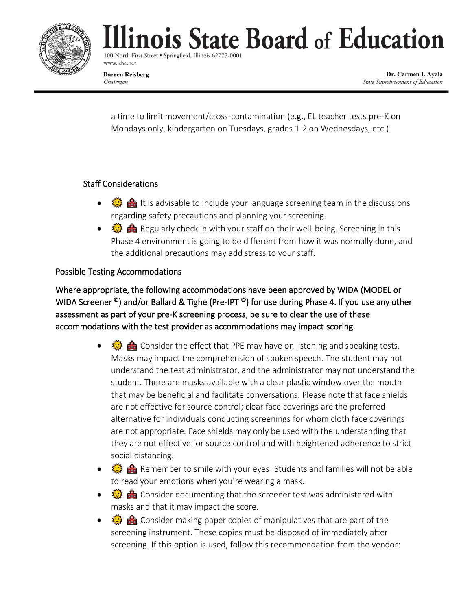

100 North First Street . Springfield, Illinois 62777-000 www.isbe.net

**Darren Reisberg** Chairman

Dr. Carmen I. Ayala State Superintendent of Education

a time to limit movement/cross-contamination (e.g., EL teacher tests pre-K on Mondays only, kindergarten on Tuesdays, grades 1-2 on Wednesdays, etc.).

#### Staff Considerations

- $\frac{1}{2}$   $\frac{1}{2}$   $\frac{1}{2}$  It is advisable to include your language screening team in the discussions regarding safety precautions and planning your screening.
- $\frac{1}{2}$   $\frac{1}{2}$   $\frac{1}{2}$  Regularly check in with your staff on their well-being. Screening in this Phase 4 environment is going to be different from how it was normally done, and the additional precautions may add stress to your staff.

#### Possible Testing Accommodations

Where appropriate, the following accommodations have been approved by WIDA (MODEL or WIDA Screener <sup>©</sup>) and/or Ballard & Tighe (Pre-IPT <sup>©</sup>) for use during Phase 4. If you use any other assessment as part of your pre-K screening process, be sure to clear the use of these accommodations with the test provider as accommodations may impact scoring.

- $\frac{1}{2}$   $\frac{1}{2}$  Consider the effect that PPE may have on listening and speaking tests. Masks may impact the comprehension of spoken speech. The student may not understand the test administrator, and the administrator may not understand the student. There are masks available with a clear plastic window over the mouth that may be beneficial and facilitate conversations. Please note that face shields are not effective for source control; clear face coverings are the preferred alternative for individuals conducting screenings for whom cloth face coverings are not appropriate. Face shields may only be used with the understanding that they are not effective for source control and with heightened adherence to strict social distancing.
- $\frac{100}{100}$  Remember to smile with your eyes! Students and families will not be able to read your emotions when you're wearing a mask.
- $\frac{1}{2}$   $\frac{1}{2}$   $\frac{1}{2}$  Consider documenting that the screener test was administered with masks and that it may impact the score.
- $\frac{1}{2}$   $\frac{1}{2}$  Consider making paper copies of manipulatives that are part of the screening instrument. These copies must be disposed of immediately after screening. If this option is used, follow this recommendation from the vendor: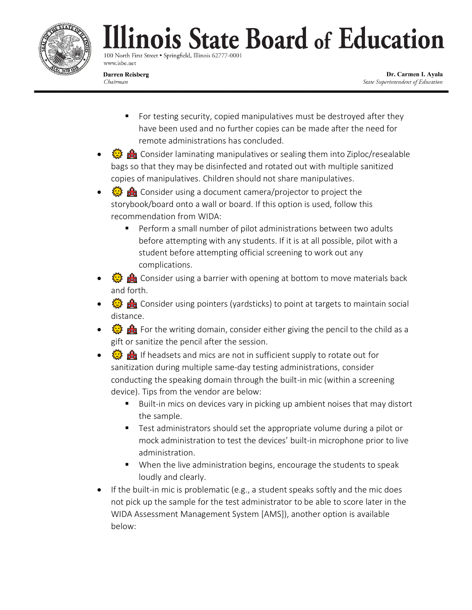

100 North First Street . Springfield, Illinois 62777-000 www.isbe.net

**Darren Reisberg** Chairman

Dr. Carmen I. Ayala State Superintendent of Education

- For testing security, copied manipulatives must be destroyed after they have been used and no further copies can be made after the need for remote administrations has concluded.
- **卷 命** Consider laminating manipulatives or sealing them into Ziploc/resealable bags so that they may be disinfected and rotated out with multiple sanitized copies of manipulatives. Children should not share manipulatives.
- $\frac{1}{2}$  and Consider using a document camera/projector to project the storybook/board onto a wall or board. If this option is used, follow this recommendation from WIDA:
	- Perform a small number of pilot administrations between two adults before attempting with any students. If it is at all possible, pilot with a student before attempting official screening to work out any complications.
- **卷 命** Consider using a barrier with opening at bottom to move materials back and forth.
- $\frac{100}{100}$   $\frac{100}{100}$  Consider using pointers (yardsticks) to point at targets to maintain social distance.
- 《影 命 For the writing domain, consider either giving the pencil to the child as a gift or sanitize the pencil after the session.
- $\frac{1}{2}$  if headsets and mics are not in sufficient supply to rotate out for sanitization during multiple same-day testing administrations, consider conducting the speaking domain through the built-in mic (within a screening device). Tips from the vendor are below:
	- Built-in mics on devices vary in picking up ambient noises that may distort the sample.
	- Test administrators should set the appropriate volume during a pilot or mock administration to test the devices' built-in microphone prior to live administration.
	- When the live administration begins, encourage the students to speak loudly and clearly.
- If the built-in mic is problematic (e.g., a student speaks softly and the mic does not pick up the sample for the test administrator to be able to score later in the WIDA Assessment Management System [AMS]), another option is available below: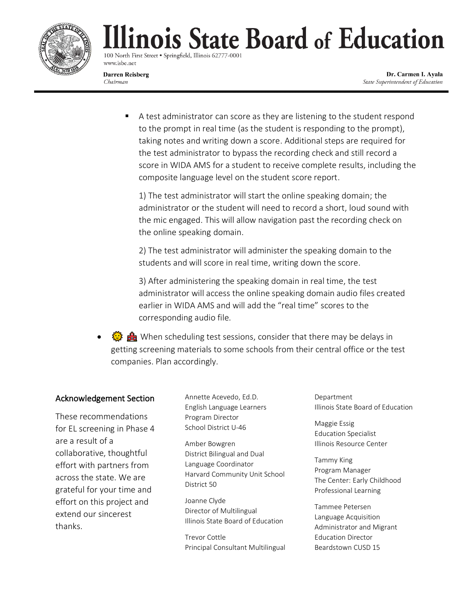

100 North First Street . Springfield, Illinois 62777-000 www.isbe.net

**Darren Reisberg** Chairman

Dr. Carmen I. Ayala State Superintendent of Education

■ A test administrator can score as they are listening to the student respond to the prompt in real time (as the student is responding to the prompt), taking notes and writing down a score. Additional steps are required for the test administrator to bypass the recording check and still record a score in WIDA AMS for a student to receive complete results, including the composite language level on the student score report.

1) The test administrator will start the online speaking domain; the administrator or the student will need to record a short, loud sound with the mic engaged. This will allow navigation past the recording check on the online speaking domain.

2) The test administrator will administer the speaking domain to the students and will score in real time, writing down the score.

3) After administering the speaking domain in real time, the test administrator will access the online speaking domain audio files created earlier in WIDA AMS and will add the "real time" scores to the corresponding audio file.

•  $\frac{1}{2}$  is the When scheduling test sessions, consider that there may be delays in getting screening materials to some schools from their central office or the test companies. Plan accordingly.

#### Acknowledgement Section

These recommendations for EL screening in Phase 4 are a result of a collaborative, thoughtful effort with partners from across the state. We are grateful for your time and effort on this project and extend our sincerest thanks.

Annette Acevedo, Ed.D. English Language Learners Program Director School District U-46

Amber Bowgren District Bilingual and Dual Language Coordinator Harvard Community Unit School District 50

Joanne Clyde Director of Multilingual Illinois State Board of Education

Trevor Cottle Principal Consultant Multilingual Department Illinois State Board of Education

Maggie Essig Education Specialist Illinois Resource Center

Tammy King Program Manager The Center: Early Childhood Professional Learning

Tammee Petersen Language Acquisition Administrator and Migrant Education Director Beardstown CUSD 15